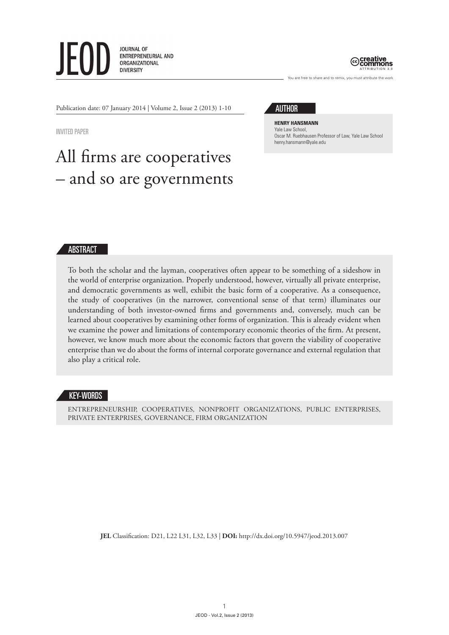



You are free to share and to remix, you must attribute the work

Publication date: 07 January 2014 | Volume 2, Issue 2 (2013) 1-10

Invited paper

# All firms are cooperatives – and so are governments



**Henry Hansmann** Yale Law School, Oscar M. Ruebhausen Professor of Law, Yale Law School henry.hansmann@yale.edu

## ABSTRACT

To both the scholar and the layman, cooperatives often appear to be something of a sideshow in the world of enterprise organization. Properly understood, however, virtually all private enterprise, and democratic governments as well, exhibit the basic form of a cooperative. As a consequence, the study of cooperatives (in the narrower, conventional sense of that term) illuminates our understanding of both investor-owned firms and governments and, conversely, much can be learned about cooperatives by examining other forms of organization. This is already evident when we examine the power and limitations of contemporary economic theories of the firm. At present, however, we know much more about the economic factors that govern the viability of cooperative enterprise than we do about the forms of internal corporate governance and external regulation that also play a critical role.

### KEY-WORDS

entrepreneurship, cooperatives, nonprofit organizations, public enterprises, private enterprises, governance, firm organization

**JEL** Classification: D21, L22 L31, L32, L33 | **DOI:** http://dx.doi.org/10.5947/jeod.2013.007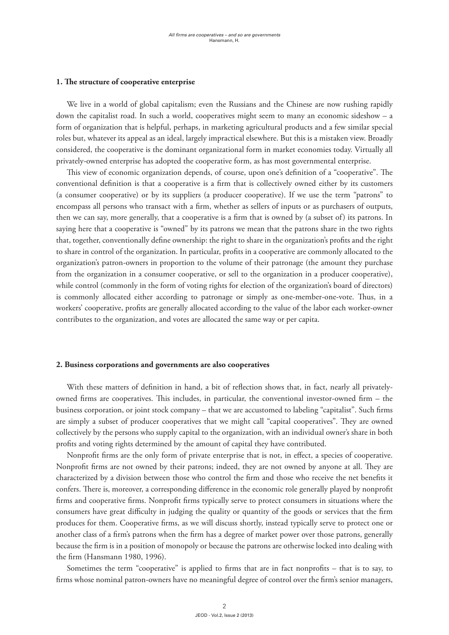#### **1. The structure of cooperative enterprise**

We live in a world of global capitalism; even the Russians and the Chinese are now rushing rapidly down the capitalist road. In such a world, cooperatives might seem to many an economic sideshow – a form of organization that is helpful, perhaps, in marketing agricultural products and a few similar special roles but, whatever its appeal as an ideal, largely impractical elsewhere. But this is a mistaken view. Broadly considered, the cooperative is the dominant organizational form in market economies today. Virtually all privately-owned enterprise has adopted the cooperative form, as has most governmental enterprise.

This view of economic organization depends, of course, upon one's definition of a "cooperative". The conventional definition is that a cooperative is a firm that is collectively owned either by its customers (a consumer cooperative) or by its suppliers (a producer cooperative). If we use the term "patrons" to encompass all persons who transact with a firm, whether as sellers of inputs or as purchasers of outputs, then we can say, more generally, that a cooperative is a firm that is owned by (a subset of) its patrons. In saying here that a cooperative is "owned" by its patrons we mean that the patrons share in the two rights that, together, conventionally define ownership: the right to share in the organization's profits and the right to share in control of the organization. In particular, profits in a cooperative are commonly allocated to the organization's patron-owners in proportion to the volume of their patronage (the amount they purchase from the organization in a consumer cooperative, or sell to the organization in a producer cooperative), while control (commonly in the form of voting rights for election of the organization's board of directors) is commonly allocated either according to patronage or simply as one-member-one-vote. Thus, in a workers' cooperative, profits are generally allocated according to the value of the labor each worker-owner contributes to the organization, and votes are allocated the same way or per capita.

#### **2. Business corporations and governments are also cooperatives**

With these matters of definition in hand, a bit of reflection shows that, in fact, nearly all privatelyowned firms are cooperatives. This includes, in particular, the conventional investor-owned firm – the business corporation, or joint stock company – that we are accustomed to labeling "capitalist". Such firms are simply a subset of producer cooperatives that we might call "capital cooperatives". They are owned collectively by the persons who supply capital to the organization, with an individual owner's share in both profits and voting rights determined by the amount of capital they have contributed.

Nonprofit firms are the only form of private enterprise that is not, in effect, a species of cooperative. Nonprofit firms are not owned by their patrons; indeed, they are not owned by anyone at all. They are characterized by a division between those who control the firm and those who receive the net benefits it confers. There is, moreover, a corresponding difference in the economic role generally played by nonprofit firms and cooperative firms. Nonprofit firms typically serve to protect consumers in situations where the consumers have great difficulty in judging the quality or quantity of the goods or services that the firm produces for them. Cooperative firms, as we will discuss shortly, instead typically serve to protect one or another class of a firm's patrons when the firm has a degree of market power over those patrons, generally because the firm is in a position of monopoly or because the patrons are otherwise locked into dealing with the firm (Hansmann 1980, 1996).

Sometimes the term "cooperative" is applied to firms that are in fact nonprofits – that is to say, to firms whose nominal patron-owners have no meaningful degree of control over the firm's senior managers,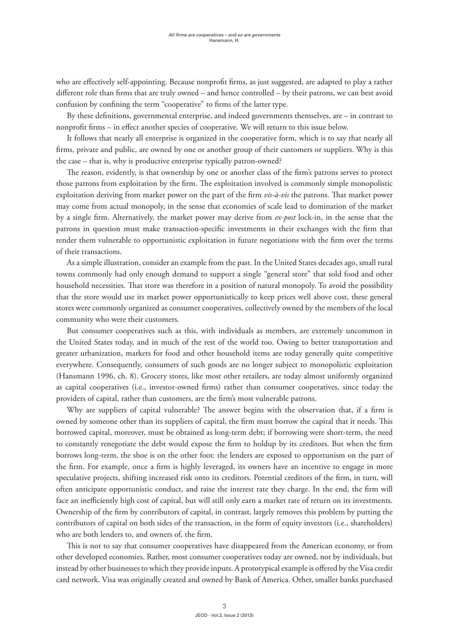who are effectively self-appointing. Because nonprofit firms, as just suggested, are adapted to play a rather different role than firms that are truly owned – and hence controlled – by their patrons, we can best avoid confusion by confining the term "cooperative" to firms of the latter type.

By these definitions, governmental enterprise, and indeed governments themselves, are – in contrast to nonprofit firms – in effect another species of cooperative. We will return to this issue below.

It follows that nearly all enterprise is organized in the cooperative form, which is to say that nearly all firms, private and public, are owned by one or another group of their customers or suppliers. Why is this the case – that is, why is productive enterprise typically patron-owned?

The reason, evidently, is that ownership by one or another class of the firm's patrons serves to protect those patrons from exploitation by the firm. The exploitation involved is commonly simple monopolistic exploitation deriving from market power on the part of the firm *vis-à-vis* the patrons. That market power may come from actual monopoly, in the sense that economies of scale lead to domination of the market by a single firm. Alternatively, the market power may derive from *ex-post* lock-in, in the sense that the patrons in question must make transaction-specific investments in their exchanges with the firm that render them vulnerable to opportunistic exploitation in future negotiations with the firm over the terms of their transactions.

As a simple illustration, consider an example from the past. In the United States decades ago, small rural towns commonly had only enough demand to support a single "general store" that sold food and other household necessities. That store was therefore in a position of natural monopoly. To avoid the possibility that the store would use its market power opportunistically to keep prices well above cost, these general stores were commonly organized as consumer cooperatives, collectively owned by the members of the local community who were their customers.

But consumer cooperatives such as this, with individuals as members, are extremely uncommon in the United States today, and in much of the rest of the world too. Owing to better transportation and greater urbanization, markets for food and other household items are today generally quite competitive everywhere. Consequently, consumers of such goods are no longer subject to monopolistic exploitation (Hansmann 1996, ch. 8). Grocery stores, like most other retailers, are today almost uniformly organized as capital cooperatives (i.e., investor-owned firms) rather than consumer cooperatives, since today the providers of capital, rather than customers, are the firm's most vulnerable patrons.

Why are suppliers of capital vulnerable? The answer begins with the observation that, if a firm is owned by someone other than its suppliers of capital, the firm must borrow the capital that it needs. This borrowed capital, moreover, must be obtained as long-term debt; if borrowing were short-term, the need to constantly renegotiate the debt would expose the firm to holdup by its creditors. But when the firm borrows long-term, the shoe is on the other foot: the lenders are exposed to opportunism on the part of the firm. For example, once a firm is highly leveraged, its owners have an incentive to engage in more speculative projects, shifting increased risk onto its creditors. Potential creditors of the firm, in turn, will often anticipate opportunistic conduct, and raise the interest rate they charge. In the end, the firm will face an inefficiently high cost of capital, but will still only earn a market rate of return on its investments. Ownership of the firm by contributors of capital, in contrast, largely removes this problem by putting the contributors of capital on both sides of the transaction, in the form of equity investors (i.e., shareholders) who are both lenders to, and owners of, the firm.

This is not to say that consumer cooperatives have disappeared from the American economy, or from other developed economies. Rather, most consumer cooperatives today are owned, not by individuals, but instead by other businesses to which they provide inputs. A prototypical example is offered by the Visa credit card network. Visa was originally created and owned by Bank of America. Other, smaller banks purchased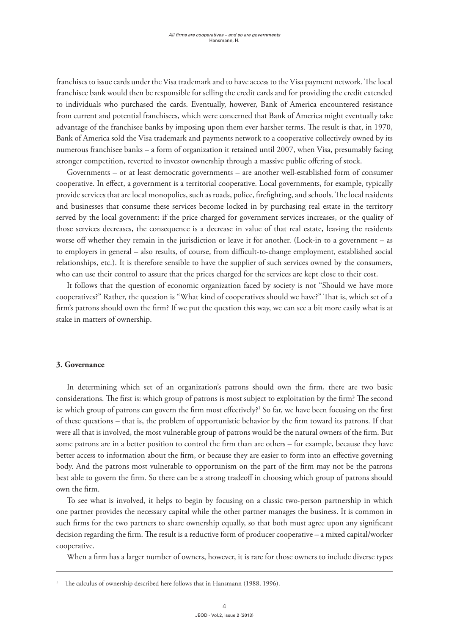franchises to issue cards under the Visa trademark and to have access to the Visa payment network. The local franchisee bank would then be responsible for selling the credit cards and for providing the credit extended to individuals who purchased the cards. Eventually, however, Bank of America encountered resistance from current and potential franchisees, which were concerned that Bank of America might eventually take advantage of the franchisee banks by imposing upon them ever harsher terms. The result is that, in 1970, Bank of America sold the Visa trademark and payments network to a cooperative collectively owned by its numerous franchisee banks – a form of organization it retained until 2007, when Visa, presumably facing stronger competition, reverted to investor ownership through a massive public offering of stock.

Governments – or at least democratic governments – are another well-established form of consumer cooperative. In effect, a government is a territorial cooperative. Local governments, for example, typically provide services that are local monopolies, such as roads, police, firefighting, and schools. The local residents and businesses that consume these services become locked in by purchasing real estate in the territory served by the local government: if the price charged for government services increases, or the quality of those services decreases, the consequence is a decrease in value of that real estate, leaving the residents worse off whether they remain in the jurisdiction or leave it for another. (Lock-in to a government – as to employers in general – also results, of course, from difficult-to-change employment, established social relationships, etc.). It is therefore sensible to have the supplier of such services owned by the consumers, who can use their control to assure that the prices charged for the services are kept close to their cost.

It follows that the question of economic organization faced by society is not "Should we have more cooperatives?" Rather, the question is "What kind of cooperatives should we have?" That is, which set of a firm's patrons should own the firm? If we put the question this way, we can see a bit more easily what is at stake in matters of ownership.

### **3. Governance**

In determining which set of an organization's patrons should own the firm, there are two basic considerations. The first is: which group of patrons is most subject to exploitation by the firm? The second is: which group of patrons can govern the firm most effectively?<sup>1</sup> So far, we have been focusing on the first of these questions – that is, the problem of opportunistic behavior by the firm toward its patrons. If that were all that is involved, the most vulnerable group of patrons would be the natural owners of the firm. But some patrons are in a better position to control the firm than are others – for example, because they have better access to information about the firm, or because they are easier to form into an effective governing body. And the patrons most vulnerable to opportunism on the part of the firm may not be the patrons best able to govern the firm. So there can be a strong tradeoff in choosing which group of patrons should own the firm.

To see what is involved, it helps to begin by focusing on a classic two-person partnership in which one partner provides the necessary capital while the other partner manages the business. It is common in such firms for the two partners to share ownership equally, so that both must agree upon any significant decision regarding the firm. The result is a reductive form of producer cooperative – a mixed capital/worker cooperative.

When a firm has a larger number of owners, however, it is rare for those owners to include diverse types

The calculus of ownership described here follows that in Hansmann (1988, 1996).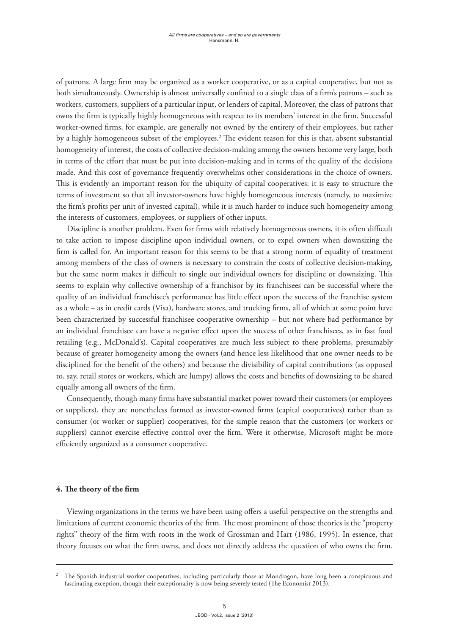of patrons. A large firm may be organized as a worker cooperative, or as a capital cooperative, but not as both simultaneously. Ownership is almost universally confined to a single class of a firm's patrons – such as workers, customers, suppliers of a particular input, or lenders of capital. Moreover, the class of patrons that owns the firm is typically highly homogeneous with respect to its members' interest in the firm. Successful worker-owned firms, for example, are generally not owned by the entirety of their employees, but rather by a highly homogeneous subset of the employees.2 The evident reason for this is that, absent substantial homogeneity of interest, the costs of collective decision-making among the owners become very large, both in terms of the effort that must be put into decision-making and in terms of the quality of the decisions made. And this cost of governance frequently overwhelms other considerations in the choice of owners. This is evidently an important reason for the ubiquity of capital cooperatives: it is easy to structure the terms of investment so that all investor-owners have highly homogeneous interests (namely, to maximize the firm's profits per unit of invested capital), while it is much harder to induce such homogeneity among the interests of customers, employees, or suppliers of other inputs.

Discipline is another problem. Even for firms with relatively homogeneous owners, it is often difficult to take action to impose discipline upon individual owners, or to expel owners when downsizing the firm is called for. An important reason for this seems to be that a strong norm of equality of treatment among members of the class of owners is necessary to constrain the costs of collective decision-making, but the same norm makes it difficult to single out individual owners for discipline or downsizing. This seems to explain why collective ownership of a franchisor by its franchisees can be successful where the quality of an individual franchisee's performance has little effect upon the success of the franchise system as a whole – as in credit cards (Visa), hardware stores, and trucking firms, all of which at some point have been characterized by successful franchisee cooperative ownership – but not where bad performance by an individual franchisee can have a negative effect upon the success of other franchisees, as in fast food retailing (e.g., McDonald's). Capital cooperatives are much less subject to these problems, presumably because of greater homogeneity among the owners (and hence less likelihood that one owner needs to be disciplined for the benefit of the others) and because the divisibility of capital contributions (as opposed to, say, retail stores or workers, which are lumpy) allows the costs and benefits of downsizing to be shared equally among all owners of the firm.

Consequently, though many firms have substantial market power toward their customers (or employees or suppliers), they are nonetheless formed as investor-owned firms (capital cooperatives) rather than as consumer (or worker or supplier) cooperatives, for the simple reason that the customers (or workers or suppliers) cannot exercise effective control over the firm. Were it otherwise, Microsoft might be more efficiently organized as a consumer cooperative.

### **4. The theory of the firm**

Viewing organizations in the terms we have been using offers a useful perspective on the strengths and limitations of current economic theories of the firm. The most prominent of those theories is the "property rights" theory of the firm with roots in the work of Grossman and Hart (1986, 1995). In essence, that theory focuses on what the firm owns, and does not directly address the question of who owns the firm.

<sup>2</sup> The Spanish industrial worker cooperatives, including particularly those at Mondragon, have long been a conspicuous and fascinating exception, though their exceptionality is now being severely tested (The Economist 2013).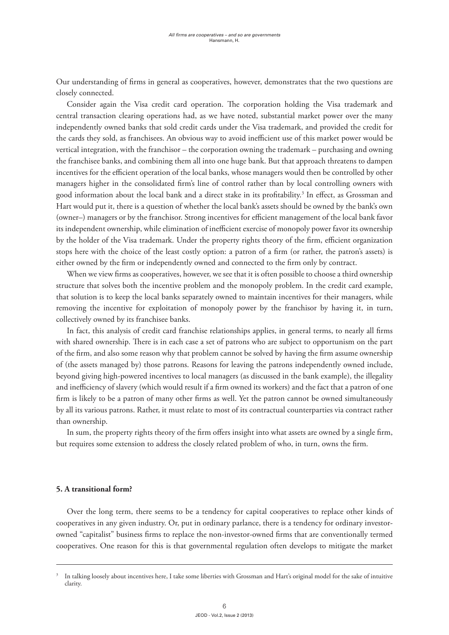Our understanding of firms in general as cooperatives, however, demonstrates that the two questions are closely connected.

Consider again the Visa credit card operation. The corporation holding the Visa trademark and central transaction clearing operations had, as we have noted, substantial market power over the many independently owned banks that sold credit cards under the Visa trademark, and provided the credit for the cards they sold, as franchisees. An obvious way to avoid inefficient use of this market power would be vertical integration, with the franchisor – the corporation owning the trademark – purchasing and owning the franchisee banks, and combining them all into one huge bank. But that approach threatens to dampen incentives for the efficient operation of the local banks, whose managers would then be controlled by other managers higher in the consolidated firm's line of control rather than by local controlling owners with good information about the local bank and a direct stake in its profitability.<sup>3</sup> In effect, as Grossman and Hart would put it, there is a question of whether the local bank's assets should be owned by the bank's own (owner–) managers or by the franchisor. Strong incentives for efficient management of the local bank favor its independent ownership, while elimination of inefficient exercise of monopoly power favor its ownership by the holder of the Visa trademark. Under the property rights theory of the firm, efficient organization stops here with the choice of the least costly option: a patron of a firm (or rather, the patron's assets) is either owned by the firm or independently owned and connected to the firm only by contract.

When we view firms as cooperatives, however, we see that it is often possible to choose a third ownership structure that solves both the incentive problem and the monopoly problem. In the credit card example, that solution is to keep the local banks separately owned to maintain incentives for their managers, while removing the incentive for exploitation of monopoly power by the franchisor by having it, in turn, collectively owned by its franchisee banks.

In fact, this analysis of credit card franchise relationships applies, in general terms, to nearly all firms with shared ownership. There is in each case a set of patrons who are subject to opportunism on the part of the firm, and also some reason why that problem cannot be solved by having the firm assume ownership of (the assets managed by) those patrons. Reasons for leaving the patrons independently owned include, beyond giving high-powered incentives to local managers (as discussed in the bank example), the illegality and inefficiency of slavery (which would result if a firm owned its workers) and the fact that a patron of one firm is likely to be a patron of many other firms as well. Yet the patron cannot be owned simultaneously by all its various patrons. Rather, it must relate to most of its contractual counterparties via contract rather than ownership.

In sum, the property rights theory of the firm offers insight into what assets are owned by a single firm, but requires some extension to address the closely related problem of who, in turn, owns the firm.

### **5. A transitional form?**

Over the long term, there seems to be a tendency for capital cooperatives to replace other kinds of cooperatives in any given industry. Or, put in ordinary parlance, there is a tendency for ordinary investorowned "capitalist" business firms to replace the non-investor-owned firms that are conventionally termed cooperatives. One reason for this is that governmental regulation often develops to mitigate the market

<sup>3</sup> In talking loosely about incentives here, I take some liberties with Grossman and Hart's original model for the sake of intuitive clarity.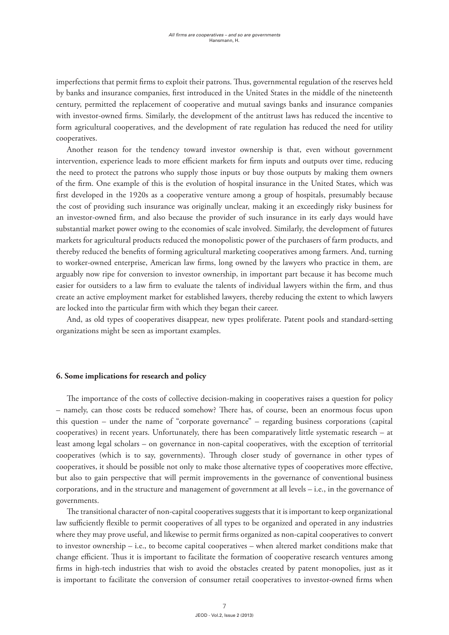imperfections that permit firms to exploit their patrons. Thus, governmental regulation of the reserves held by banks and insurance companies, first introduced in the United States in the middle of the nineteenth century, permitted the replacement of cooperative and mutual savings banks and insurance companies with investor-owned firms. Similarly, the development of the antitrust laws has reduced the incentive to form agricultural cooperatives, and the development of rate regulation has reduced the need for utility cooperatives.

Another reason for the tendency toward investor ownership is that, even without government intervention, experience leads to more efficient markets for firm inputs and outputs over time, reducing the need to protect the patrons who supply those inputs or buy those outputs by making them owners of the firm. One example of this is the evolution of hospital insurance in the United States, which was first developed in the 1920s as a cooperative venture among a group of hospitals, presumably because the cost of providing such insurance was originally unclear, making it an exceedingly risky business for an investor-owned firm, and also because the provider of such insurance in its early days would have substantial market power owing to the economies of scale involved. Similarly, the development of futures markets for agricultural products reduced the monopolistic power of the purchasers of farm products, and thereby reduced the benefits of forming agricultural marketing cooperatives among farmers. And, turning to worker-owned enterprise, American law firms, long owned by the lawyers who practice in them, are arguably now ripe for conversion to investor ownership, in important part because it has become much easier for outsiders to a law firm to evaluate the talents of individual lawyers within the firm, and thus create an active employment market for established lawyers, thereby reducing the extent to which lawyers are locked into the particular firm with which they began their career.

And, as old types of cooperatives disappear, new types proliferate. Patent pools and standard-setting organizations might be seen as important examples.

### **6. Some implications for research and policy**

The importance of the costs of collective decision-making in cooperatives raises a question for policy – namely, can those costs be reduced somehow? There has, of course, been an enormous focus upon this question – under the name of "corporate governance" – regarding business corporations (capital cooperatives) in recent years. Unfortunately, there has been comparatively little systematic research – at least among legal scholars – on governance in non-capital cooperatives, with the exception of territorial cooperatives (which is to say, governments). Through closer study of governance in other types of cooperatives, it should be possible not only to make those alternative types of cooperatives more effective, but also to gain perspective that will permit improvements in the governance of conventional business corporations, and in the structure and management of government at all levels – i.e., in the governance of governments.

The transitional character of non-capital cooperatives suggests that it is important to keep organizational law sufficiently flexible to permit cooperatives of all types to be organized and operated in any industries where they may prove useful, and likewise to permit firms organized as non-capital cooperatives to convert to investor ownership – i.e., to become capital cooperatives – when altered market conditions make that change efficient. Thus it is important to facilitate the formation of cooperative research ventures among firms in high-tech industries that wish to avoid the obstacles created by patent monopolies, just as it is important to facilitate the conversion of consumer retail cooperatives to investor-owned firms when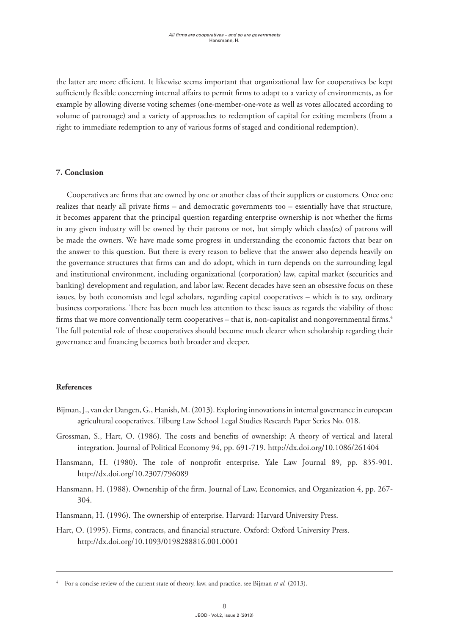the latter are more efficient. It likewise seems important that organizational law for cooperatives be kept sufficiently flexible concerning internal affairs to permit firms to adapt to a variety of environments, as for example by allowing diverse voting schemes (one-member-one-vote as well as votes allocated according to volume of patronage) and a variety of approaches to redemption of capital for exiting members (from a right to immediate redemption to any of various forms of staged and conditional redemption).

# **7. Conclusion**

Cooperatives are firms that are owned by one or another class of their suppliers or customers. Once one realizes that nearly all private firms – and democratic governments too – essentially have that structure, it becomes apparent that the principal question regarding enterprise ownership is not whether the firms in any given industry will be owned by their patrons or not, but simply which class(es) of patrons will be made the owners. We have made some progress in understanding the economic factors that bear on the answer to this question. But there is every reason to believe that the answer also depends heavily on the governance structures that firms can and do adopt, which in turn depends on the surrounding legal and institutional environment, including organizational (corporation) law, capital market (securities and banking) development and regulation, and labor law. Recent decades have seen an obsessive focus on these issues, by both economists and legal scholars, regarding capital cooperatives – which is to say, ordinary business corporations. There has been much less attention to these issues as regards the viability of those firms that we more conventionally term cooperatives – that is, non-capitalist and nongovernmental firms.<sup>4</sup> The full potential role of these cooperatives should become much clearer when scholarship regarding their governance and financing becomes both broader and deeper.

### **References**

- Bijman, J., van der Dangen, G., Hanish, M. (2013). Exploring innovations in internal governance in european agricultural cooperatives. Tilburg Law School Legal Studies Research Paper Series No. 018.
- Grossman, S., Hart, O. (1986). The costs and benefits of ownership: A theory of vertical and lateral integration. Journal of Political Economy 94, pp. 691-719. http://dx.doi.org/10.1086/261404
- Hansmann, H. (1980). The role of nonprofit enterprise. Yale Law Journal 89, pp. 835-901. http://dx.doi.org/10.2307/796089
- Hansmann, H. (1988). Ownership of the firm. Journal of Law, Economics, and Organization 4, pp. 267- 304.
- Hansmann, H. (1996). The ownership of enterprise. Harvard: Harvard University Press.
- Hart, O. (1995). Firms, contracts, and financial structure. Oxford: Oxford University Press. http://dx.doi.org/10.1093/0198288816.001.0001

<sup>4</sup> For a concise review of the current state of theory, law, and practice, see Bijman *et al.* (2013).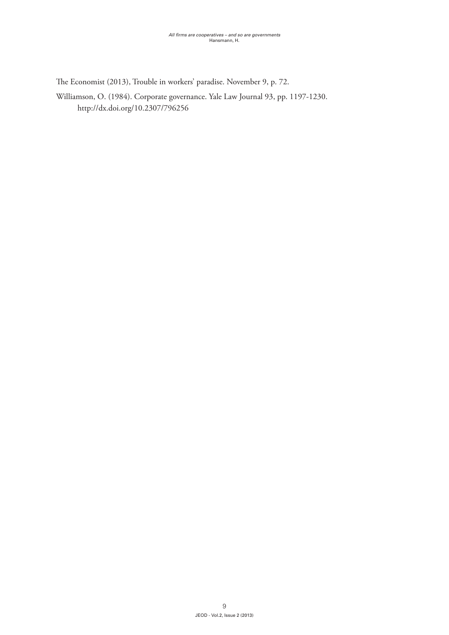The Economist (2013), Trouble in workers' paradise. November 9, p. 72.

Williamson, O. (1984). Corporate governance. Yale Law Journal 93, pp. 1197-1230. http://dx.doi.org/10.2307/796256